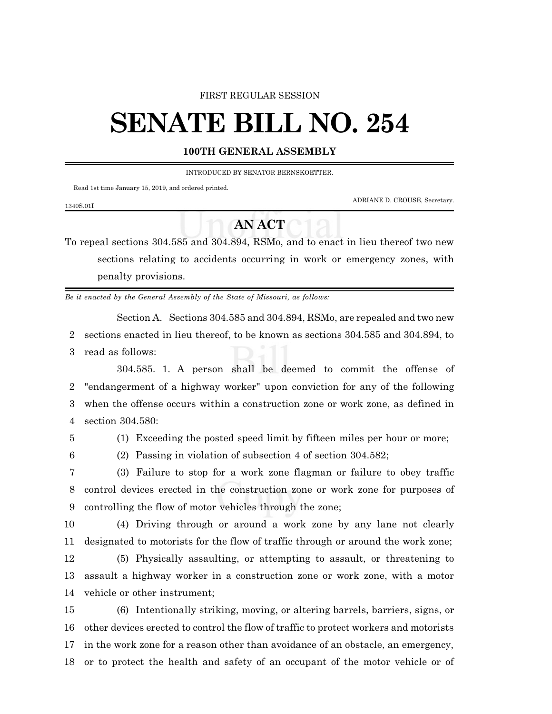#### FIRST REGULAR SESSION

# **SENATE BILL NO. 254**

### **100TH GENERAL ASSEMBLY**

INTRODUCED BY SENATOR BERNSKOETTER.

Read 1st time January 15, 2019, and ordered printed.

ADRIANE D. CROUSE, Secretary.

### 1340S.01I

## **AN ACT**

To repeal sections 304.585 and 304.894, RSMo, and to enact in lieu thereof two new sections relating to accidents occurring in work or emergency zones, with penalty provisions.

*Be it enacted by the General Assembly of the State of Missouri, as follows:*

Section A. Sections 304.585 and 304.894, RSMo, are repealed and two new

2 sections enacted in lieu thereof, to be known as sections 304.585 and 304.894, to 3 read as follows:

304.585. 1. A person shall be deemed to commit the offense of "endangerment of a highway worker" upon conviction for any of the following when the offense occurs within a construction zone or work zone, as defined in section 304.580:

5 (1) Exceeding the posted speed limit by fifteen miles per hour or more;

6 (2) Passing in violation of subsection 4 of section 304.582;

7 (3) Failure to stop for a work zone flagman or failure to obey traffic 8 control devices erected in the construction zone or work zone for purposes of 9 controlling the flow of motor vehicles through the zone;

10 (4) Driving through or around a work zone by any lane not clearly 11 designated to motorists for the flow of traffic through or around the work zone;

12 (5) Physically assaulting, or attempting to assault, or threatening to 13 assault a highway worker in a construction zone or work zone, with a motor 14 vehicle or other instrument;

 (6) Intentionally striking, moving, or altering barrels, barriers, signs, or other devices erected to control the flow of traffic to protect workers and motorists in the work zone for a reason other than avoidance of an obstacle, an emergency, or to protect the health and safety of an occupant of the motor vehicle or of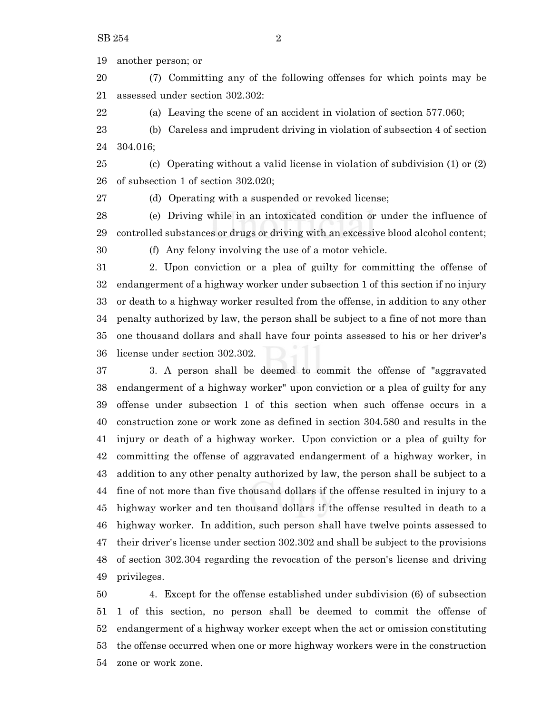another person; or

 (7) Committing any of the following offenses for which points may be assessed under section 302.302:

(a) Leaving the scene of an accident in violation of section 577.060;

 (b) Careless and imprudent driving in violation of subsection 4 of section 304.016;

 (c) Operating without a valid license in violation of subdivision (1) or (2) of subsection 1 of section 302.020;

(d) Operating with a suspended or revoked license;

 (e) Driving while in an intoxicated condition or under the influence of controlled substances or drugs or driving with an excessive blood alcohol content;

(f) Any felony involving the use of a motor vehicle.

 2. Upon conviction or a plea of guilty for committing the offense of endangerment of a highway worker under subsection 1 of this section if no injury or death to a highway worker resulted from the offense, in addition to any other penalty authorized by law, the person shall be subject to a fine of not more than one thousand dollars and shall have four points assessed to his or her driver's license under section 302.302.

 3. A person shall be deemed to commit the offense of "aggravated endangerment of a highway worker" upon conviction or a plea of guilty for any offense under subsection 1 of this section when such offense occurs in a construction zone or work zone as defined in section 304.580 and results in the injury or death of a highway worker. Upon conviction or a plea of guilty for committing the offense of aggravated endangerment of a highway worker, in addition to any other penalty authorized by law, the person shall be subject to a fine of not more than five thousand dollars if the offense resulted in injury to a highway worker and ten thousand dollars if the offense resulted in death to a highway worker. In addition, such person shall have twelve points assessed to their driver's license under section 302.302 and shall be subject to the provisions of section 302.304 regarding the revocation of the person's license and driving privileges.

 4. Except for the offense established under subdivision (6) of subsection 1 of this section, no person shall be deemed to commit the offense of endangerment of a highway worker except when the act or omission constituting the offense occurred when one or more highway workers were in the construction zone or work zone.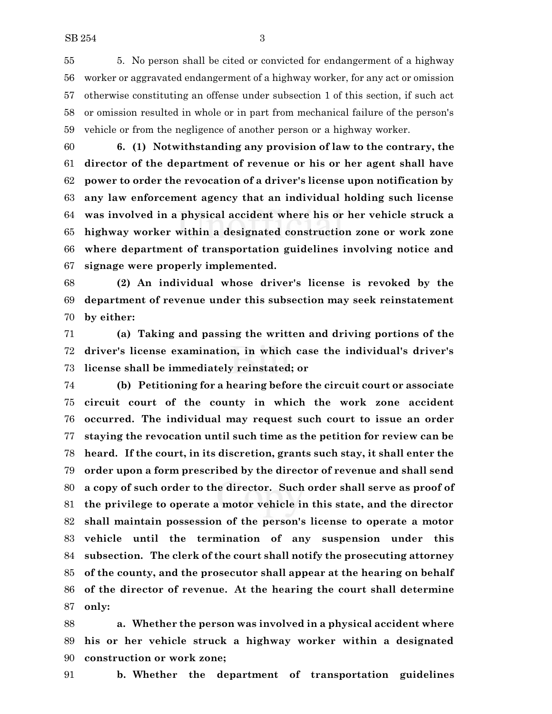5. No person shall be cited or convicted for endangerment of a highway worker or aggravated endangerment of a highway worker, for any act or omission otherwise constituting an offense under subsection 1 of this section, if such act or omission resulted in whole or in part from mechanical failure of the person's vehicle or from the negligence of another person or a highway worker.

 **6. (1) Notwithstanding any provision of law to the contrary, the director of the department of revenue or his or her agent shall have power to order the revocation of a driver's license upon notification by any law enforcement agency that an individual holding such license was involved in a physical accident where his or her vehicle struck a highway worker within a designated construction zone or work zone where department of transportation guidelines involving notice and signage were properly implemented.**

 **(2) An individual whose driver's license is revoked by the department of revenue under this subsection may seek reinstatement by either:**

 **(a) Taking and passing the written and driving portions of the driver's license examination, in which case the individual's driver's license shall be immediately reinstated; or**

 **(b) Petitioning for a hearing before the circuit court or associate circuit court of the county in which the work zone accident occurred. The individual may request such court to issue an order staying the revocation until such time as the petition for review can be heard. If the court, in its discretion, grants such stay, it shall enter the order upon a form prescribed by the director of revenue and shall send a copy of such order to the director. Such order shall serve as proof of the privilege to operate a motor vehicle in this state, and the director shall maintain possession of the person's license to operate a motor vehicle until the termination of any suspension under this subsection. The clerk of the court shall notify the prosecuting attorney of the county, and the prosecutor shall appear at the hearing on behalf of the director of revenue. At the hearing the court shall determine only:**

 **a. Whether the person was involved in a physical accident where his or her vehicle struck a highway worker within a designated construction or work zone;**

**b. Whether the department of transportation guidelines**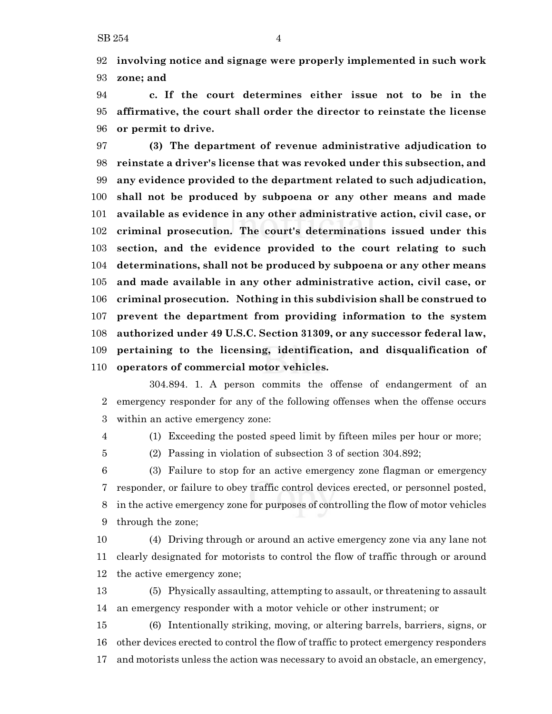**involving notice and signage were properly implemented in such work zone; and**

 **c. If the court determines either issue not to be in the affirmative, the court shall order the director to reinstate the license or permit to drive.**

 **(3) The department of revenue administrative adjudication to reinstate a driver's license that was revoked under this subsection, and any evidence provided to the department related to such adjudication, shall not be produced by subpoena or any other means and made available as evidence in any other administrative action, civil case, or criminal prosecution. The court's determinations issued under this section, and the evidence provided to the court relating to such determinations, shall not be produced by subpoena or any other means and made available in any other administrative action, civil case, or criminal prosecution. Nothing in this subdivision shall be construed to prevent the department from providing information to the system authorized under 49 U.S.C. Section 31309, or any successor federal law, pertaining to the licensing, identification, and disqualification of operators of commercial motor vehicles.**

304.894. 1. A person commits the offense of endangerment of an emergency responder for any of the following offenses when the offense occurs within an active emergency zone:

(1) Exceeding the posted speed limit by fifteen miles per hour or more;

(2) Passing in violation of subsection 3 of section 304.892;

 (3) Failure to stop for an active emergency zone flagman or emergency responder, or failure to obey traffic control devices erected, or personnel posted, in the active emergency zone for purposes of controlling the flow of motor vehicles through the zone;

 (4) Driving through or around an active emergency zone via any lane not clearly designated for motorists to control the flow of traffic through or around the active emergency zone;

 (5) Physically assaulting, attempting to assault, or threatening to assault an emergency responder with a motor vehicle or other instrument; or

 (6) Intentionally striking, moving, or altering barrels, barriers, signs, or other devices erected to control the flow of traffic to protect emergency responders and motorists unless the action was necessary to avoid an obstacle, an emergency,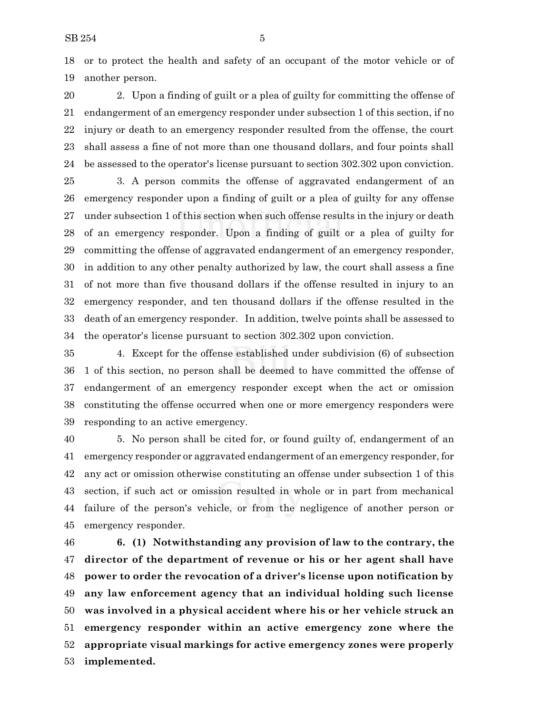or to protect the health and safety of an occupant of the motor vehicle or of another person.

 2. Upon a finding of guilt or a plea of guilty for committing the offense of endangerment of an emergency responder under subsection 1 of this section, if no injury or death to an emergency responder resulted from the offense, the court shall assess a fine of not more than one thousand dollars, and four points shall be assessed to the operator's license pursuant to section 302.302 upon conviction.

 3. A person commits the offense of aggravated endangerment of an emergency responder upon a finding of guilt or a plea of guilty for any offense under subsection 1 of this section when such offense results in the injury or death of an emergency responder. Upon a finding of guilt or a plea of guilty for committing the offense of aggravated endangerment of an emergency responder, in addition to any other penalty authorized by law, the court shall assess a fine of not more than five thousand dollars if the offense resulted in injury to an emergency responder, and ten thousand dollars if the offense resulted in the death of an emergency responder. In addition, twelve points shall be assessed to the operator's license pursuant to section 302.302 upon conviction.

 4. Except for the offense established under subdivision (6) of subsection 1 of this section, no person shall be deemed to have committed the offense of endangerment of an emergency responder except when the act or omission constituting the offense occurred when one or more emergency responders were responding to an active emergency.

 5. No person shall be cited for, or found guilty of, endangerment of an emergency responder or aggravated endangerment of an emergency responder, for any act or omission otherwise constituting an offense under subsection 1 of this section, if such act or omission resulted in whole or in part from mechanical failure of the person's vehicle, or from the negligence of another person or emergency responder.

 **6. (1) Notwithstanding any provision of law to the contrary, the director of the department of revenue or his or her agent shall have power to order the revocation of a driver's license upon notification by any law enforcement agency that an individual holding such license was involved in a physical accident where his or her vehicle struck an emergency responder within an active emergency zone where the appropriate visual markings for active emergency zones were properly implemented.**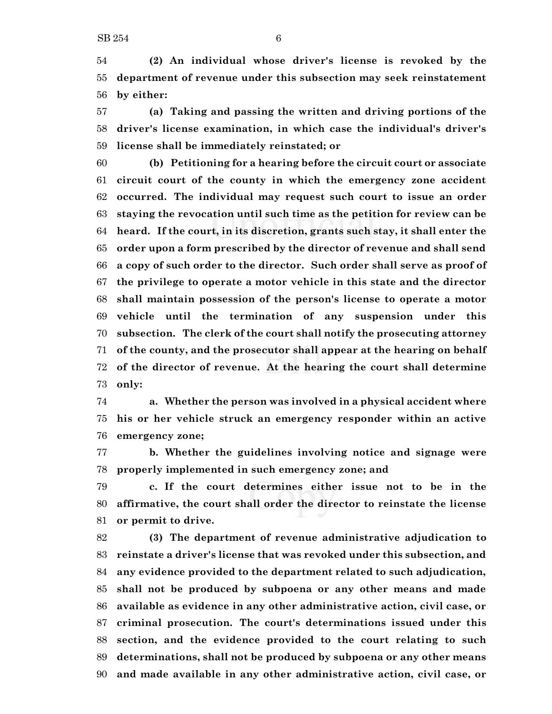**(2) An individual whose driver's license is revoked by the department of revenue under this subsection may seek reinstatement by either:**

 **(a) Taking and passing the written and driving portions of the driver's license examination, in which case the individual's driver's license shall be immediately reinstated; or**

 **(b) Petitioning for a hearing before the circuit court or associate circuit court of the county in which the emergency zone accident occurred. The individual may request such court to issue an order staying the revocation until such time as the petition for review can be heard. If the court, in its discretion, grants such stay, it shall enter the order upon a form prescribed by the director of revenue and shall send a copy of such order to the director. Such order shall serve as proof of the privilege to operate a motor vehicle in this state and the director shall maintain possession of the person's license to operate a motor vehicle until the termination of any suspension under this subsection. The clerk of the court shall notify the prosecuting attorney of the county, and the prosecutor shall appear at the hearing on behalf of the director of revenue. At the hearing the court shall determine only:**

 **a. Whether the person was involved in a physical accident where his or her vehicle struck an emergency responder within an active emergency zone;**

 **b. Whether the guidelines involving notice and signage were properly implemented in such emergency zone; and**

 **c. If the court determines either issue not to be in the affirmative, the court shall order the director to reinstate the license or permit to drive.**

 **(3) The department of revenue administrative adjudication to reinstate a driver's license that was revoked under this subsection, and any evidence provided to the department related to such adjudication, shall not be produced by subpoena or any other means and made available as evidence in any other administrative action, civil case, or criminal prosecution. The court's determinations issued under this section, and the evidence provided to the court relating to such determinations, shall not be produced by subpoena or any other means and made available in any other administrative action, civil case, or**